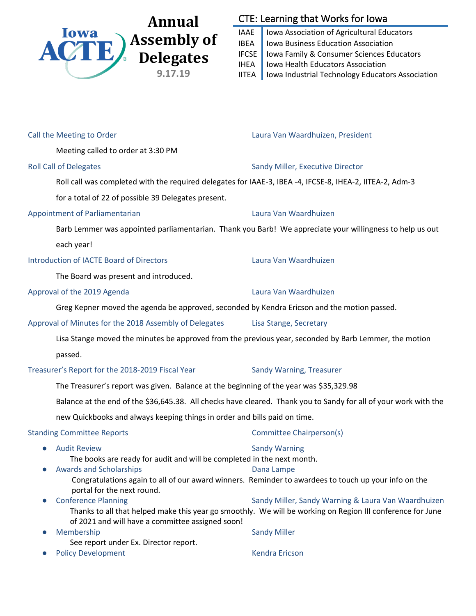

# CTE: Learning that Works for Iowa

IAAE | Iowa Association of Agricultural Educators IBEA | Iowa Business Education Association IFCSE | Iowa Family & Consumer Sciences Educators IHEA | Iowa Health Educators Association IITEA | Iowa Industrial Technology Educators Association

| Call the Meeting to Order                                                                                                               | Laura Van Waardhuizen, President                                                                                                                                                         |
|-----------------------------------------------------------------------------------------------------------------------------------------|------------------------------------------------------------------------------------------------------------------------------------------------------------------------------------------|
| Meeting called to order at 3:30 PM                                                                                                      |                                                                                                                                                                                          |
| <b>Roll Call of Delegates</b>                                                                                                           | Sandy Miller, Executive Director                                                                                                                                                         |
| Roll call was completed with the required delegates for IAAE-3, IBEA -4, IFCSE-8, IHEA-2, IITEA-2, Adm-3                                |                                                                                                                                                                                          |
| for a total of 22 of possible 39 Delegates present.                                                                                     |                                                                                                                                                                                          |
| Appointment of Parliamentarian                                                                                                          | Laura Van Waardhuizen                                                                                                                                                                    |
| Barb Lemmer was appointed parliamentarian. Thank you Barb! We appreciate your willingness to help us out                                |                                                                                                                                                                                          |
| each year!                                                                                                                              |                                                                                                                                                                                          |
| <b>Introduction of IACTE Board of Directors</b>                                                                                         | Laura Van Waardhuizen                                                                                                                                                                    |
| The Board was present and introduced.                                                                                                   |                                                                                                                                                                                          |
| Approval of the 2019 Agenda                                                                                                             | Laura Van Waardhuizen                                                                                                                                                                    |
| Greg Kepner moved the agenda be approved, seconded by Kendra Ericson and the motion passed.                                             |                                                                                                                                                                                          |
| Approval of Minutes for the 2018 Assembly of Delegates                                                                                  | Lisa Stange, Secretary                                                                                                                                                                   |
| Lisa Stange moved the minutes be approved from the previous year, seconded by Barb Lemmer, the motion                                   |                                                                                                                                                                                          |
| passed.                                                                                                                                 |                                                                                                                                                                                          |
| Treasurer's Report for the 2018-2019 Fiscal Year                                                                                        | Sandy Warning, Treasurer                                                                                                                                                                 |
| The Treasurer's report was given. Balance at the beginning of the year was \$35,329.98                                                  |                                                                                                                                                                                          |
| Balance at the end of the \$36,645.38. All checks have cleared. Thank you to Sandy for all of your work with the                        |                                                                                                                                                                                          |
| new Quickbooks and always keeping things in order and bills paid on time.                                                               |                                                                                                                                                                                          |
| <b>Standing Committee Reports</b>                                                                                                       | Committee Chairperson(s)                                                                                                                                                                 |
| <b>Audit Review</b><br>The books are ready for audit and will be completed in the next month.<br><b>Awards and Scholarships</b>         | <b>Sandy Warning</b><br>Dana Lampe<br>Congratulations again to all of our award winners. Reminder to awardees to touch up your info on the                                               |
| portal for the next round.<br><b>Conference Planning</b><br>of 2021 and will have a committee assigned soon!<br>Membership<br>$\bullet$ | Sandy Miller, Sandy Warning & Laura Van Waardhuizen<br>Thanks to all that helped make this year go smoothly. We will be working on Region III conference for June<br><b>Sandy Miller</b> |
| See report under Ex. Director report.<br><b>Policy Development</b>                                                                      | <b>Kendra Ericson</b>                                                                                                                                                                    |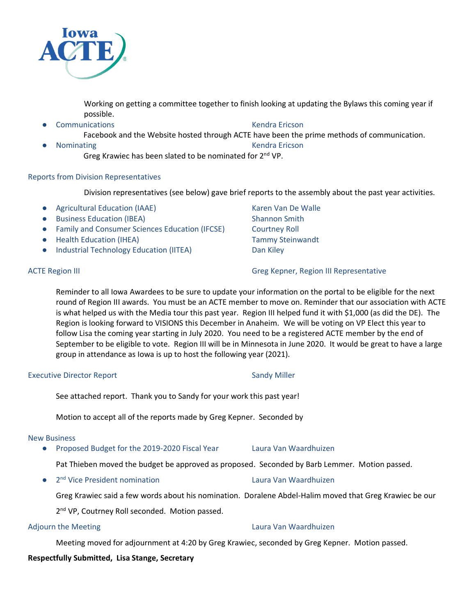

Working on getting a committee together to finish looking at updating the Bylaws this coming year if possible.

**Communications Communications** Communications Communications Communications Communications Communications Communications Communications Communications Communications Communications Communications Communications Communicat Facebook and the Website hosted through ACTE have been the prime methods of communication. **Nominating Kendra Ericson** 

Greg Krawiec has been slated to be nominated for 2<sup>nd</sup> VP.

## Reports from Division Representatives

Division representatives (see below) gave brief reports to the assembly about the past year activities.

- Agricultural Education (IAAE) Karen Van De Walle
- Business Education (IBEA) Shannon Smith
- Family and Consumer Sciences Education (IFCSE) Courtney Roll
- Health Education (IHEA) Tammy Steinwandt
- Industrial Technology Education (IITEA) Dan Kiley

ACTE Region III Greg Kepner, Region III Representative

Reminder to all Iowa Awardees to be sure to update your information on the portal to be eligible for the next round of Region III awards. You must be an ACTE member to move on. Reminder that our association with ACTE is what helped us with the Media tour this past year. Region III helped fund it with \$1,000 (as did the DE). The Region is looking forward to VISIONS this December in Anaheim. We will be voting on VP Elect this year to follow Lisa the coming year starting in July 2020. You need to be a registered ACTE member by the end of September to be eligible to vote. Region III will be in Minnesota in June 2020. It would be great to have a large group in attendance as Iowa is up to host the following year (2021).

### Executive Director Report **Sandy Miller** Sandy Miller

See attached report. Thank you to Sandy for your work this past year!

Motion to accept all of the reports made by Greg Kepner. Seconded by

### New Business

- Proposed Budget for the 2019-2020 Fiscal Year Laura Van Waardhuizen
	- Pat Thieben moved the budget be approved as proposed. Seconded by Barb Lemmer. Motion passed.
- 2<sup>nd</sup> Vice President nomination Laura Van Waardhuizen

Greg Krawiec said a few words about his nomination. Doralene Abdel-Halim moved that Greg Krawiec be our

2<sup>nd</sup> VP, Coutrney Roll seconded. Motion passed.

Meeting moved for adjournment at 4:20 by Greg Krawiec, seconded by Greg Kepner. Motion passed.

# **Respectfully Submitted, Lisa Stange, Secretary**

# Adjourn the Meeting Laura Van Waardhuizen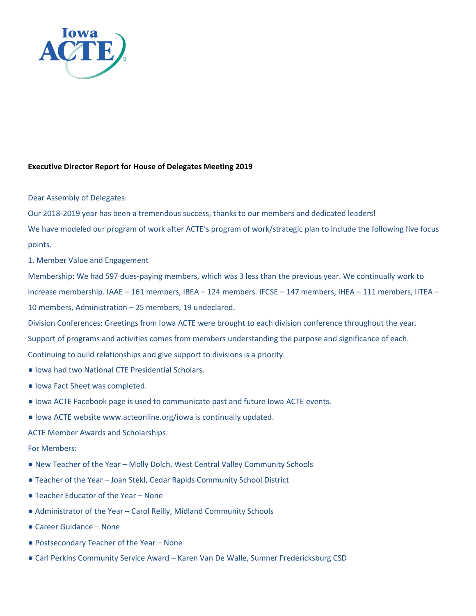

## **Executive Director Report for House of Delegates Meeting 2019**

### Dear Assembly of Delegates:

Our 2018-2019 year has been a tremendous success, thanks to our members and dedicated leaders!

We have modeled our program of work after ACTE's program of work/strategic plan to include the following five focus points.

1. Member Value and Engagement

Membership: We had 597 dues-paying members, which was 3 less than the previous year. We continually work to increase membership. IAAE – 161 members, IBEA – 124 members. IFCSE – 147 members, IHEA – 111 members, IITEA – 10 members, Administration – 25 members, 19 undeclared.

Division Conferences: Greetings from Iowa ACTE were brought to each division conference throughout the year.

Support of programs and activities comes from members understanding the purpose and significance of each.

Continuing to build relationships and give support to divisions is a priority.

- Iowa had two National CTE Presidential Scholars.
- Iowa Fact Sheet was completed.
- Iowa ACTE Facebook page is used to communicate past and future Iowa ACTE events.
- Iowa ACTE website www.acteonline.org/iowa is continually updated.

ACTE Member Awards and Scholarships:

### For Members:

- New Teacher of the Year Molly Dolch, West Central Valley Community Schools
- Teacher of the Year Joan Stekl, Cedar Rapids Community School District
- Teacher Educator of the Year None
- Administrator of the Year Carol Reilly, Midland Community Schools
- Career Guidance None
- Postsecondary Teacher of the Year None
- Carl Perkins Community Service Award Karen Van De Walle, Sumner Fredericksburg CSD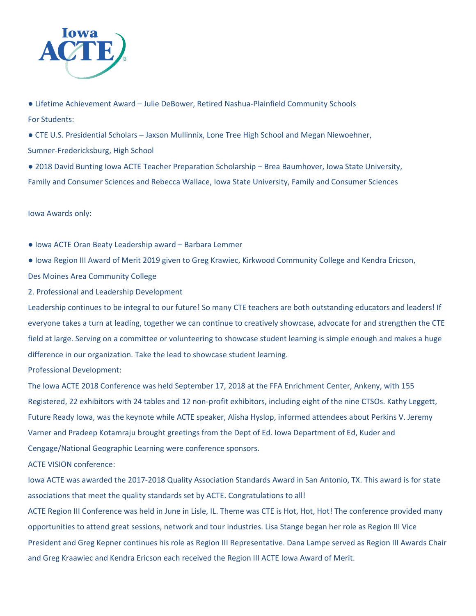

● Lifetime Achievement Award – Julie DeBower, Retired Nashua-Plainfield Community Schools For Students:

● CTE U.S. Presidential Scholars – Jaxson Mullinnix, Lone Tree High School and Megan Niewoehner, Sumner-Fredericksburg, High School

● 2018 David Bunting Iowa ACTE Teacher Preparation Scholarship – Brea Baumhover, Iowa State University, Family and Consumer Sciences and Rebecca Wallace, Iowa State University, Family and Consumer Sciences

Iowa Awards only:

● Iowa ACTE Oran Beaty Leadership award – Barbara Lemmer

● Iowa Region III Award of Merit 2019 given to Greg Krawiec, Kirkwood Community College and Kendra Ericson, Des Moines Area Community College

2. Professional and Leadership Development

Leadership continues to be integral to our future! So many CTE teachers are both outstanding educators and leaders! If everyone takes a turn at leading, together we can continue to creatively showcase, advocate for and strengthen the CTE field at large. Serving on a committee or volunteering to showcase student learning is simple enough and makes a huge difference in our organization. Take the lead to showcase student learning.

Professional Development:

The Iowa ACTE 2018 Conference was held September 17, 2018 at the FFA Enrichment Center, Ankeny, with 155 Registered, 22 exhibitors with 24 tables and 12 non-profit exhibitors, including eight of the nine CTSOs. Kathy Leggett, Future Ready Iowa, was the keynote while ACTE speaker, Alisha Hyslop, informed attendees about Perkins V. Jeremy Varner and Pradeep Kotamraju brought greetings from the Dept of Ed. Iowa Department of Ed, Kuder and Cengage/National Geographic Learning were conference sponsors.

ACTE VISION conference:

Iowa ACTE was awarded the 2017-2018 Quality Association Standards Award in San Antonio, TX. This award is for state associations that meet the quality standards set by ACTE. Congratulations to all!

ACTE Region III Conference was held in June in Lisle, IL. Theme was CTE is Hot, Hot, Hot! The conference provided many opportunities to attend great sessions, network and tour industries. Lisa Stange began her role as Region III Vice President and Greg Kepner continues his role as Region III Representative. Dana Lampe served as Region III Awards Chair and Greg Kraawiec and Kendra Ericson each received the Region III ACTE Iowa Award of Merit.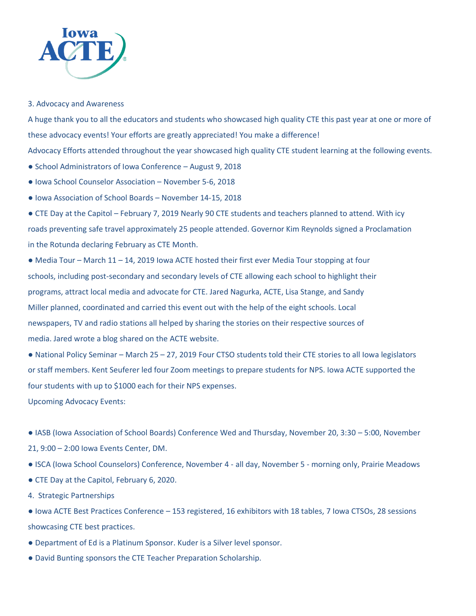

### 3. Advocacy and Awareness

A huge thank you to all the educators and students who showcased high quality CTE this past year at one or more of these advocacy events! Your efforts are greatly appreciated! You make a difference!

Advocacy Efforts attended throughout the year showcased high quality CTE student learning at the following events.

- School Administrators of Iowa Conference August 9, 2018
- Iowa School Counselor Association November 5-6, 2018
- Iowa Association of School Boards November 14-15, 2018
- CTE Day at the Capitol February 7, 2019 Nearly 90 CTE students and teachers planned to attend. With icy roads preventing safe travel approximately 25 people attended. Governor Kim Reynolds signed a Proclamation in the Rotunda declaring February as CTE Month.
- Media Tour March 11 14, 2019 Iowa ACTE hosted their first ever Media Tour stopping at four schools, including post-secondary and secondary levels of CTE allowing each school to highlight their programs, attract local media and advocate for CTE. Jared Nagurka, ACTE, Lisa Stange, and Sandy Miller planned, coordinated and carried this event out with the help of the eight schools. Local newspapers, TV and radio stations all helped by sharing the stories on their respective sources of media. Jared wrote a blog shared on the ACTE website.

● National Policy Seminar – March 25 – 27, 2019 Four CTSO students told their CTE stories to all Iowa legislators or staff members. Kent Seuferer led four Zoom meetings to prepare students for NPS. Iowa ACTE supported the four students with up to \$1000 each for their NPS expenses.

Upcoming Advocacy Events:

- IASB (Iowa Association of School Boards) Conference Wed and Thursday, November 20, 3:30 5:00, November 21, 9:00 – 2:00 Iowa Events Center, DM.
- ISCA (Iowa School Counselors) Conference, November 4 all day, November 5 morning only, Prairie Meadows
- CTE Day at the Capitol, February 6, 2020.
- 4. Strategic Partnerships
- Iowa ACTE Best Practices Conference 153 registered, 16 exhibitors with 18 tables, 7 Iowa CTSOs, 28 sessions showcasing CTE best practices.
- Department of Ed is a Platinum Sponsor. Kuder is a Silver level sponsor.
- David Bunting sponsors the CTE Teacher Preparation Scholarship.